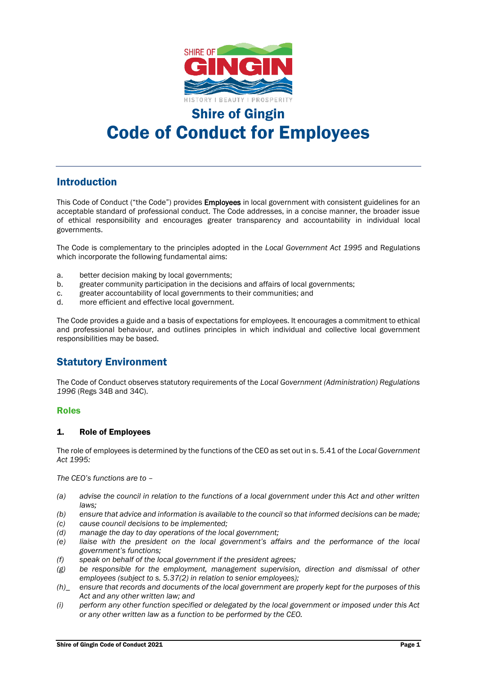

# Shire of Gingin

# Code of Conduct for Employees

# Introduction

This Code of Conduct ("the Code") provides **Employees** in local government with consistent guidelines for an acceptable standard of professional conduct. The Code addresses, in a concise manner, the broader issue of ethical responsibility and encourages greater transparency and accountability in individual local governments.

The Code is complementary to the principles adopted in the *Local Government Act 1995* and Regulations which incorporate the following fundamental aims:

- a. better decision making by local governments;
- b. greater community participation in the decisions and affairs of local governments;
- c. greater accountability of local governments to their communities; and
- d. more efficient and effective local government.

The Code provides a guide and a basis of expectations for employees. It encourages a commitment to ethical and professional behaviour, and outlines principles in which individual and collective local government responsibilities may be based.

# Statutory Environment

The Code of Conduct observes statutory requirements of the *Local Government (Administration) Regulations 1996* (Regs 34B and 34C).

# Roles

# 1. Role of Employees

The role of employees is determined by the functions of the CEO as set out in s. 5.41 of the *Local Government Act 1995:*

*The CEO's functions are to –*

- *(a) advise the council in relation to the functions of a local government under this Act and other written laws;*
- *(b) ensure that advice and information is available to the council so that informed decisions can be made;*
- *(c) cause council decisions to be implemented;*
- *(d) manage the day to day operations of the local government;*
- *(e) liaise with the president on the local government's affairs and the performance of the local government's functions;*
- *(f) speak on behalf of the local government if the president agrees;*
- *(g) be responsible for the employment, management supervision, direction and dismissal of other employees (subject to s. 5.37(2) in relation to senior employees);*
- *(h)\_ ensure that records and documents of the local government are properly kept for the purposes of this Act and any other written law; and*
- *(i) perform any other function specified or delegated by the local government or imposed under this Act or any other written law as a function to be performed by the CEO.*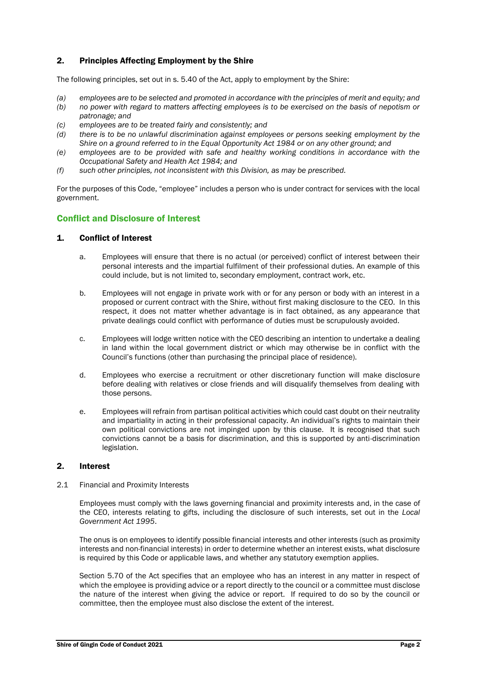# 2. Principles Affecting Employment by the Shire

The following principles, set out in s. 5.40 of the Act, apply to employment by the Shire:

- *(a) employees are to be selected and promoted in accordance with the principles of merit and equity; and*
- *(b) no power with regard to matters affecting employees is to be exercised on the basis of nepotism or patronage; and*
- *(c) employees are to be treated fairly and consistently; and*
- *(d) there is to be no unlawful discrimination against employees or persons seeking employment by the Shire on a ground referred to in the Equal Opportunity Act 1984 or on any other ground; and*
- *(e) employees are to be provided with safe and healthy working conditions in accordance with the Occupational Safety and Health Act 1984; and*
- *(f) such other principles, not inconsistent with this Division, as may be prescribed.*

For the purposes of this Code, "employee" includes a person who is under contract for services with the local government.

# Conflict and Disclosure of Interest

#### 1. Conflict of Interest

- a. Employees will ensure that there is no actual (or perceived) conflict of interest between their personal interests and the impartial fulfilment of their professional duties. An example of this could include, but is not limited to, secondary employment, contract work, etc.
- b. Employees will not engage in private work with or for any person or body with an interest in a proposed or current contract with the Shire, without first making disclosure to the CEO. In this respect, it does not matter whether advantage is in fact obtained, as any appearance that private dealings could conflict with performance of duties must be scrupulously avoided.
- c. Employees will lodge written notice with the CEO describing an intention to undertake a dealing in land within the local government district or which may otherwise be in conflict with the Council's functions (other than purchasing the principal place of residence).
- d. Employees who exercise a recruitment or other discretionary function will make disclosure before dealing with relatives or close friends and will disqualify themselves from dealing with those persons.
- e. Employees will refrain from partisan political activities which could cast doubt on their neutrality and impartiality in acting in their professional capacity. An individual's rights to maintain their own political convictions are not impinged upon by this clause. It is recognised that such convictions cannot be a basis for discrimination, and this is supported by anti-discrimination legislation.

#### 2. Interest

2.1 Financial and Proximity Interests

Employees must comply with the laws governing financial and proximity interests and, in the case of the CEO, interests relating to gifts, including the disclosure of such interests, set out in the *Local Government Act 1995*.

The onus is on employees to identify possible financial interests and other interests (such as proximity interests and non-financial interests) in order to determine whether an interest exists, what disclosure is required by this Code or applicable laws, and whether any statutory exemption applies.

Section 5.70 of the Act specifies that an employee who has an interest in any matter in respect of which the employee is providing advice or a report directly to the council or a committee must disclose the nature of the interest when giving the advice or report. If required to do so by the council or committee, then the employee must also disclose the extent of the interest.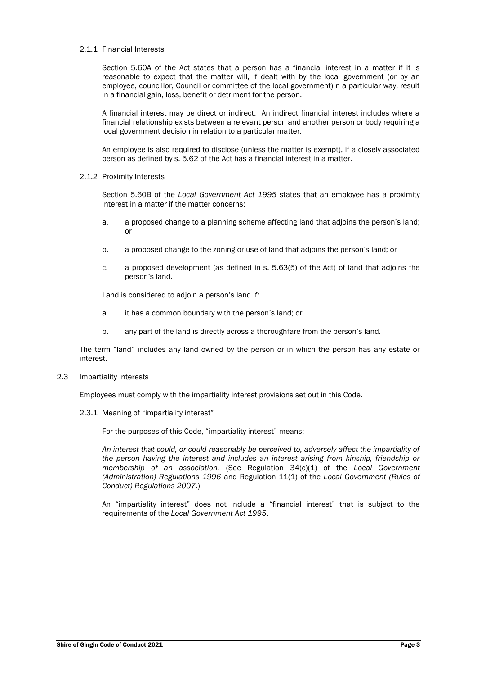#### 2.1.1 Financial Interests

Section 5.60A of the Act states that a person has a financial interest in a matter if it is reasonable to expect that the matter will, if dealt with by the local government (or by an employee, councillor, Council or committee of the local government) n a particular way, result in a financial gain, loss, benefit or detriment for the person.

A financial interest may be direct or indirect. An indirect financial interest includes where a financial relationship exists between a relevant person and another person or body requiring a local government decision in relation to a particular matter.

An employee is also required to disclose (unless the matter is exempt), if a closely associated person as defined by s. 5.62 of the Act has a financial interest in a matter.

#### 2.1.2 Proximity Interests

Section 5.60B of the *Local Government Act 1995* states that an employee has a proximity interest in a matter if the matter concerns:

- a. a proposed change to a planning scheme affecting land that adjoins the person's land; or
- b. a proposed change to the zoning or use of land that adjoins the person's land; or
- c. a proposed development (as defined in s. 5.63(5) of the Act) of land that adjoins the person's land.

Land is considered to adjoin a person's land if:

- a. it has a common boundary with the person's land; or
- b. any part of the land is directly across a thoroughfare from the person's land.

The term "land" includes any land owned by the person or in which the person has any estate or interest.

2.3 Impartiality Interests

Employees must comply with the impartiality interest provisions set out in this Code.

2.3.1 Meaning of "impartiality interest"

For the purposes of this Code, "impartiality interest" means:

*An interest that could, or could reasonably be perceived to, adversely affect the impartiality of the person having the interest and includes an interest arising from kinship, friendship or membership of an association.* (See Regulation 34(c)(1) of the *Local Government (Administration) Regulations 1996* and Regulation 11(1) of the *Local Government (Rules of Conduct) Regulations 2007*.)

An "impartiality interest" does not include a "financial interest" that is subject to the requirements of the *Local Government Act 1995*.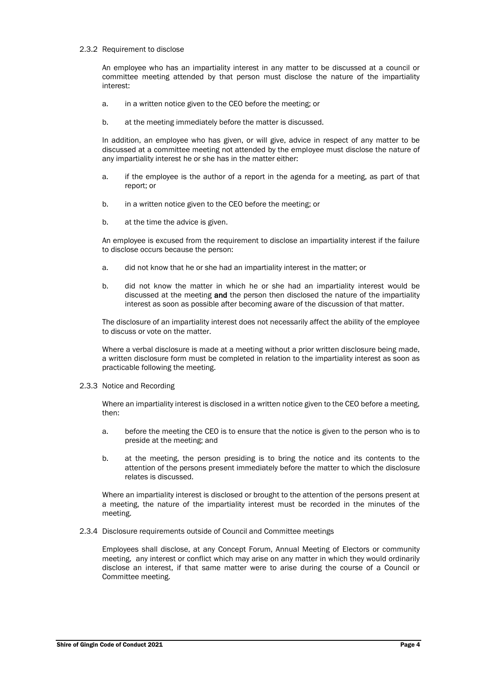#### 2.3.2 Requirement to disclose

An employee who has an impartiality interest in any matter to be discussed at a council or committee meeting attended by that person must disclose the nature of the impartiality interest:

- a. in a written notice given to the CEO before the meeting; or
- b. at the meeting immediately before the matter is discussed.

In addition, an employee who has given, or will give, advice in respect of any matter to be discussed at a committee meeting not attended by the employee must disclose the nature of any impartiality interest he or she has in the matter either:

- a. if the employee is the author of a report in the agenda for a meeting, as part of that report; or
- b. in a written notice given to the CEO before the meeting; or
- b. at the time the advice is given.

An employee is excused from the requirement to disclose an impartiality interest if the failure to disclose occurs because the person:

- a. did not know that he or she had an impartiality interest in the matter; or
- b. did not know the matter in which he or she had an impartiality interest would be discussed at the meeting and the person then disclosed the nature of the impartiality interest as soon as possible after becoming aware of the discussion of that matter.

The disclosure of an impartiality interest does not necessarily affect the ability of the employee to discuss or vote on the matter.

Where a verbal disclosure is made at a meeting without a prior written disclosure being made, a written disclosure form must be completed in relation to the impartiality interest as soon as practicable following the meeting.

2.3.3 Notice and Recording

Where an impartiality interest is disclosed in a written notice given to the CEO before a meeting, then:

- a. before the meeting the CEO is to ensure that the notice is given to the person who is to preside at the meeting; and
- b. at the meeting, the person presiding is to bring the notice and its contents to the attention of the persons present immediately before the matter to which the disclosure relates is discussed.

Where an impartiality interest is disclosed or brought to the attention of the persons present at a meeting, the nature of the impartiality interest must be recorded in the minutes of the meeting.

2.3.4 Disclosure requirements outside of Council and Committee meetings

Employees shall disclose, at any Concept Forum, Annual Meeting of Electors or community meeting, any interest or conflict which may arise on any matter in which they would ordinarily disclose an interest, if that same matter were to arise during the course of a Council or Committee meeting.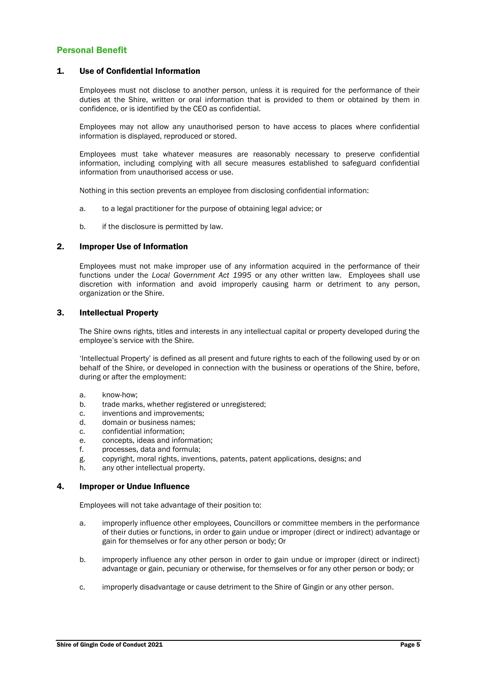# Personal Benefit

#### 1. Use of Confidential Information

Employees must not disclose to another person, unless it is required for the performance of their duties at the Shire, written or oral information that is provided to them or obtained by them in confidence, or is identified by the CEO as confidential.

Employees may not allow any unauthorised person to have access to places where confidential information is displayed, reproduced or stored.

Employees must take whatever measures are reasonably necessary to preserve confidential information, including complying with all secure measures established to safeguard confidential information from unauthorised access or use.

Nothing in this section prevents an employee from disclosing confidential information:

- a. to a legal practitioner for the purpose of obtaining legal advice; or
- b. if the disclosure is permitted by law.

### 2. Improper Use of Information

Employees must not make improper use of any information acquired in the performance of their functions under the *Local Government Act 1995* or any other written law. Employees shall use discretion with information and avoid improperly causing harm or detriment to any person, organization or the Shire.

### 3. Intellectual Property

The Shire owns rights, titles and interests in any intellectual capital or property developed during the employee's service with the Shire.

'Intellectual Property' is defined as all present and future rights to each of the following used by or on behalf of the Shire, or developed in connection with the business or operations of the Shire, before, during or after the employment:

- a. know-how;
- b. trade marks, whether registered or unregistered;
- c. inventions and improvements;
- d. domain or business names;
- c. confidential information;
- e. concepts, ideas and information;
- f. processes, data and formula;
- g. copyright, moral rights, inventions, patents, patent applications, designs; and
- h. any other intellectual property.

#### 4. Improper or Undue Influence

Employees will not take advantage of their position to:

- a. improperly influence other employees, Councillors or committee members in the performance of their duties or functions, in order to gain undue or improper (direct or indirect) advantage or gain for themselves or for any other person or body; Or
- b. improperly influence any other person in order to gain undue or improper (direct or indirect) advantage or gain, pecuniary or otherwise, for themselves or for any other person or body; or
- c. improperly disadvantage or cause detriment to the Shire of Gingin or any other person.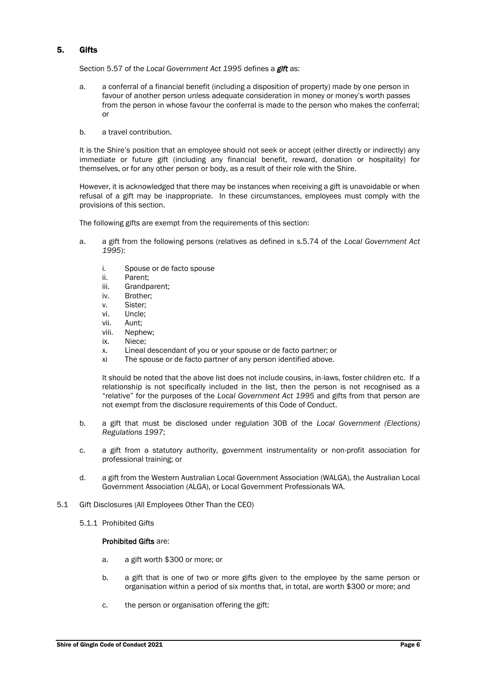# 5. Gifts

Section 5.57 of the *Local Government Act 1995* defines a *gift* as:

- a. a conferral of a financial benefit (including a disposition of property) made by one person in favour of another person unless adequate consideration in money or money's worth passes from the person in whose favour the conferral is made to the person who makes the conferral; or
- b. a travel contribution.

It is the Shire's position that an employee should not seek or accept (either directly or indirectly) any immediate or future gift (including any financial benefit, reward, donation or hospitality) for themselves, or for any other person or body, as a result of their role with the Shire.

However, it is acknowledged that there may be instances when receiving a gift is unavoidable or when refusal of a gift may be inappropriate. In these circumstances, employees must comply with the provisions of this section.

The following gifts are exempt from the requirements of this section:

- a. a gift from the following persons (relatives as defined in s.5.74 of the *Local Government Act 1995*):
	- i. Spouse or de facto spouse
	- ii. Parent;
	- iii. Grandparent;
	- iv. Brother;
	- v. Sister;
	- vi. Uncle;
	- vii. Aunt;
	- viii. Nephew;
	- ix. Niece;
	- x. Lineal descendant of you or your spouse or de facto partner; or
	- xi The spouse or de facto partner of any person identified above.

It should be noted that the above list does not include cousins, in-laws, foster children etc. If a relationship is not specifically included in the list, then the person is not recognised as a "relative" for the purposes of the *Local Government Act 1995* and gifts from that person are not exempt from the disclosure requirements of this Code of Conduct.

- b. a gift that must be disclosed under regulation 30B of the *Local Government (Elections) Regulations 1997*;
- c. a gift from a statutory authority, government instrumentality or non-profit association for professional training; or
- d. a gift from the Western Australian Local Government Association (WALGA), the Australian Local Government Association (ALGA), or Local Government Professionals WA.
- 5.1 Gift Disclosures (All Employees Other Than the CEO)
	- 5.1.1 Prohibited Gifts

#### Prohibited Gifts are:

- a. a gift worth \$300 or more; or
- b. a gift that is one of two or more gifts given to the employee by the same person or organisation within a period of six months that, in total, are worth \$300 or more; and
- c. the person or organisation offering the gift: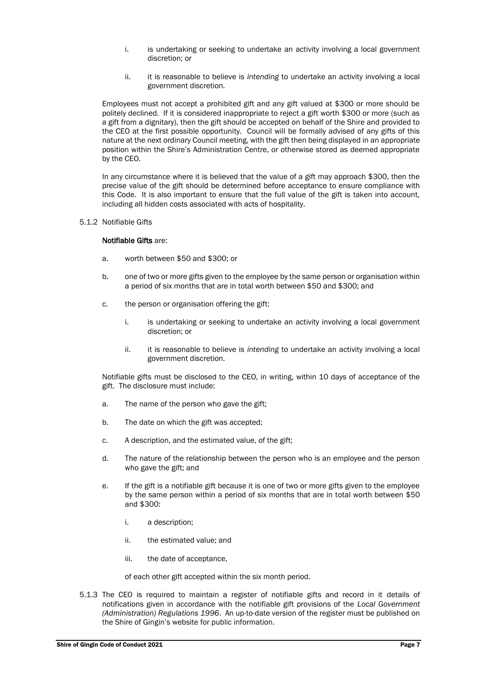- i. is undertaking or seeking to undertake an activity involving a local government discretion; or
- ii. it is reasonable to believe is *intending* to undertake an activity involving a local government discretion.

Employees must not accept a prohibited gift and any gift valued at \$300 or more should be politely declined. If it is considered inappropriate to reject a gift worth \$300 or more (such as a gift from a dignitary), then the gift should be accepted on behalf of the Shire and provided to the CEO at the first possible opportunity. Council will be formally advised of any gifts of this nature at the next ordinary Council meeting, with the gift then being displayed in an appropriate position within the Shire's Administration Centre, or otherwise stored as deemed appropriate by the CEO.

In any circumstance where it is believed that the value of a gift may approach \$300, then the precise value of the gift should be determined before acceptance to ensure compliance with this Code. It is also important to ensure that the full value of the gift is taken into account, including all hidden costs associated with acts of hospitality.

5.1.2 Notifiable Gifts

#### Notifiable Gifts are:

- a. worth between \$50 and \$300; or
- b. one of two or more gifts given to the employee by the same person or organisation within a period of six months that are in total worth between \$50 and \$300; and
- c. the person or organisation offering the gift:
	- i. is undertaking or seeking to undertake an activity involving a local government discretion; or
	- ii. it is reasonable to believe is *intending* to undertake an activity involving a local government discretion.

Notifiable gifts must be disclosed to the CEO, in writing, within 10 days of acceptance of the gift. The disclosure must include:

- a. The name of the person who gave the gift;
- b. The date on which the gift was accepted;
- c. A description, and the estimated value, of the gift;
- d. The nature of the relationship between the person who is an employee and the person who gave the gift; and
- e. If the gift is a notifiable gift because it is one of two or more gifts given to the employee by the same person within a period of six months that are in total worth between \$50 and \$300:
	- i. a description;
	- ii. the estimated value; and
	- iii. the date of acceptance,

of each other gift accepted within the six month period.

5.1.3 The CEO is required to maintain a register of notifiable gifts and record in it details of notifications given in accordance with the notifiable gift provisions of the *Local Government (Administration) Regulations 1996*. An up-to-date version of the register must be published on the Shire of Gingin's website for public information.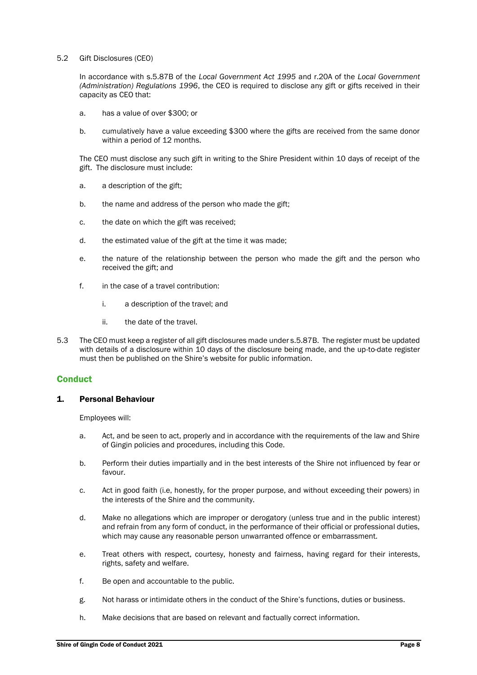#### 5.2 Gift Disclosures (CEO)

In accordance with s.5.87B of the *Local Government Act 1995* and r.20A of the *Local Government (Administration) Regulations 1996*, the CEO is required to disclose any gift or gifts received in their capacity as CEO that:

- a. has a value of over \$300; or
- b. cumulatively have a value exceeding \$300 where the gifts are received from the same donor within a period of 12 months.

The CEO must disclose any such gift in writing to the Shire President within 10 days of receipt of the gift. The disclosure must include:

- a. a description of the gift;
- b. the name and address of the person who made the gift;
- c. the date on which the gift was received;
- d. the estimated value of the gift at the time it was made;
- e. the nature of the relationship between the person who made the gift and the person who received the gift; and
- f. in the case of a travel contribution:
	- i. a description of the travel; and
	- ii. the date of the travel.
- 5.3 The CEO must keep a register of all gift disclosures made under s.5.87B. The register must be updated with details of a disclosure within 10 days of the disclosure being made, and the up-to-date register must then be published on the Shire's website for public information.

# **Conduct**

#### 1. Personal Behaviour

Employees will:

- a. Act, and be seen to act, properly and in accordance with the requirements of the law and Shire of Gingin policies and procedures, including this Code.
- b. Perform their duties impartially and in the best interests of the Shire not influenced by fear or favour.
- c. Act in good faith (i.e, honestly, for the proper purpose, and without exceeding their powers) in the interests of the Shire and the community.
- d. Make no allegations which are improper or derogatory (unless true and in the public interest) and refrain from any form of conduct, in the performance of their official or professional duties, which may cause any reasonable person unwarranted offence or embarrassment.
- e. Treat others with respect, courtesy, honesty and fairness, having regard for their interests, rights, safety and welfare.
- f. Be open and accountable to the public.
- g. Not harass or intimidate others in the conduct of the Shire's functions, duties or business.
- h. Make decisions that are based on relevant and factually correct information.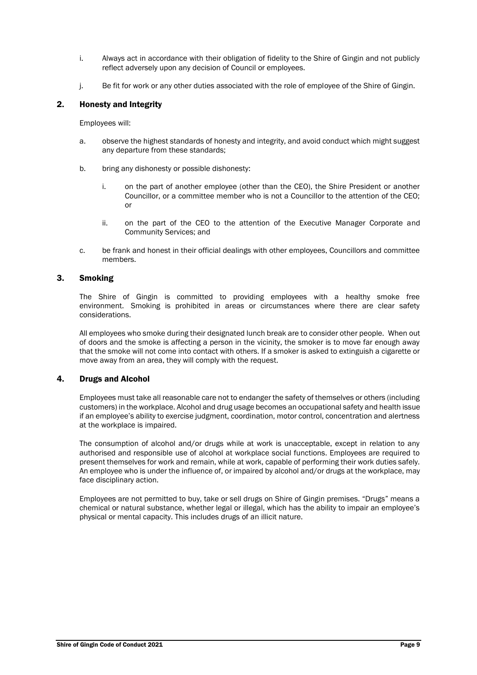- i. Always act in accordance with their obligation of fidelity to the Shire of Gingin and not publicly reflect adversely upon any decision of Council or employees.
- j. Be fit for work or any other duties associated with the role of employee of the Shire of Gingin.

# 2. Honesty and Integrity

Employees will:

- a. observe the highest standards of honesty and integrity, and avoid conduct which might suggest any departure from these standards;
- b. bring any dishonesty or possible dishonesty:
	- i. on the part of another employee (other than the CEO), the Shire President or another Councillor, or a committee member who is not a Councillor to the attention of the CEO; or
	- ii. on the part of the CEO to the attention of the Executive Manager Corporate and Community Services; and
- c. be frank and honest in their official dealings with other employees, Councillors and committee members.

# 3. Smoking

The Shire of Gingin is committed to providing employees with a healthy smoke free environment. Smoking is prohibited in areas or circumstances where there are clear safety considerations.

All employees who smoke during their designated lunch break are to consider other people. When out of doors and the smoke is affecting a person in the vicinity, the smoker is to move far enough away that the smoke will not come into contact with others. If a smoker is asked to extinguish a cigarette or move away from an area, they will comply with the request.

# 4. Drugs and Alcohol

Employees must take all reasonable care not to endanger the safety of themselves or others (including customers) in the workplace. Alcohol and drug usage becomes an occupational safety and health issue if an employee's ability to exercise judgment, coordination, motor control, concentration and alertness at the workplace is impaired.

The consumption of alcohol and/or drugs while at work is unacceptable, except in relation to any authorised and responsible use of alcohol at workplace social functions. Employees are required to present themselves for work and remain, while at work, capable of performing their work duties safely. An employee who is under the influence of, or impaired by alcohol and/or drugs at the workplace, may face disciplinary action.

Employees are not permitted to buy, take or sell drugs on Shire of Gingin premises. "Drugs" means a chemical or natural substance, whether legal or illegal, which has the ability to impair an employee's physical or mental capacity. This includes drugs of an illicit nature.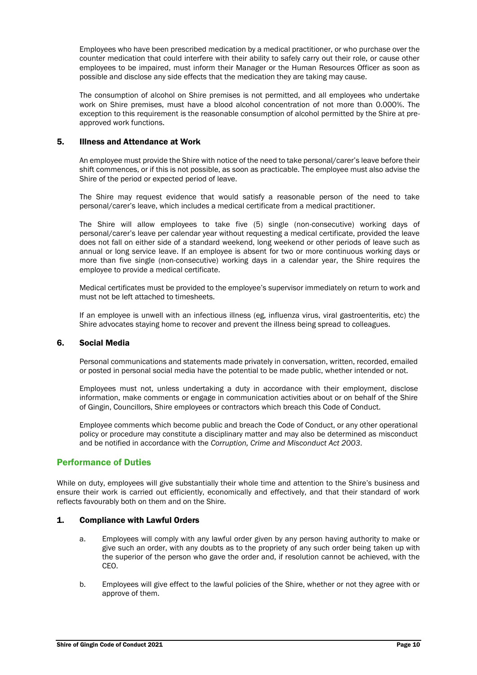Employees who have been prescribed medication by a medical practitioner, or who purchase over the counter medication that could interfere with their ability to safely carry out their role, or cause other employees to be impaired, must inform their Manager or the Human Resources Officer as soon as possible and disclose any side effects that the medication they are taking may cause.

The consumption of alcohol on Shire premises is not permitted, and all employees who undertake work on Shire premises, must have a blood alcohol concentration of not more than 0.000%. The exception to this requirement is the reasonable consumption of alcohol permitted by the Shire at preapproved work functions.

### 5. Illness and Attendance at Work

An employee must provide the Shire with notice of the need to take personal/carer's leave before their shift commences, or if this is not possible, as soon as practicable. The employee must also advise the Shire of the period or expected period of leave.

The Shire may request evidence that would satisfy a reasonable person of the need to take personal/carer's leave, which includes a medical certificate from a medical practitioner.

The Shire will allow employees to take five (5) single (non-consecutive) working days of personal/carer's leave per calendar year without requesting a medical certificate, provided the leave does not fall on either side of a standard weekend, long weekend or other periods of leave such as annual or long service leave. If an employee is absent for two or more continuous working days or more than five single (non-consecutive) working days in a calendar year, the Shire requires the employee to provide a medical certificate.

Medical certificates must be provided to the employee's supervisor immediately on return to work and must not be left attached to timesheets.

If an employee is unwell with an infectious illness (eg, influenza virus, viral gastroenteritis, etc) the Shire advocates staying home to recover and prevent the illness being spread to colleagues.

# 6. Social Media

Personal communications and statements made privately in conversation, written, recorded, emailed or posted in personal social media have the potential to be made public, whether intended or not.

Employees must not, unless undertaking a duty in accordance with their employment, disclose information, make comments or engage in communication activities about or on behalf of the Shire of Gingin, Councillors, Shire employees or contractors which breach this Code of Conduct.

Employee comments which become public and breach the Code of Conduct, or any other operational policy or procedure may constitute a disciplinary matter and may also be determined as misconduct and be notified in accordance with the *Corruption, Crime and Misconduct Act 2003*.

# Performance of Duties

While on duty, employees will give substantially their whole time and attention to the Shire's business and ensure their work is carried out efficiently, economically and effectively, and that their standard of work reflects favourably both on them and on the Shire.

# 1. Compliance with Lawful Orders

- a. Employees will comply with any lawful order given by any person having authority to make or give such an order, with any doubts as to the propriety of any such order being taken up with the superior of the person who gave the order and, if resolution cannot be achieved, with the CEO.
- b. Employees will give effect to the lawful policies of the Shire, whether or not they agree with or approve of them.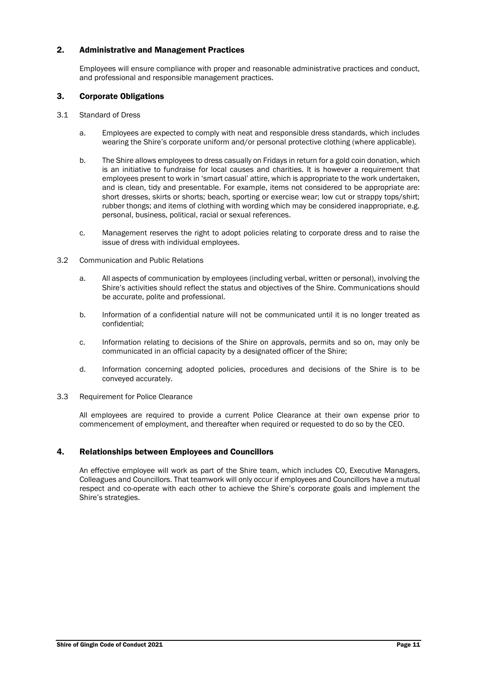# 2. Administrative and Management Practices

Employees will ensure compliance with proper and reasonable administrative practices and conduct, and professional and responsible management practices.

## 3. Corporate Obligations

- 3.1 Standard of Dress
	- a. Employees are expected to comply with neat and responsible dress standards, which includes wearing the Shire's corporate uniform and/or personal protective clothing (where applicable).
	- b. The Shire allows employees to dress casually on Fridays in return for a gold coin donation, which is an initiative to fundraise for local causes and charities. It is however a requirement that employees present to work in 'smart casual' attire, which is appropriate to the work undertaken, and is clean, tidy and presentable. For example, items not considered to be appropriate are: short dresses, skirts or shorts; beach, sporting or exercise wear; low cut or strappy tops/shirt; rubber thongs; and items of clothing with wording which may be considered inappropriate, e.g. personal, business, political, racial or sexual references.
	- c. Management reserves the right to adopt policies relating to corporate dress and to raise the issue of dress with individual employees.
- 3.2 Communication and Public Relations
	- a. All aspects of communication by employees (including verbal, written or personal), involving the Shire's activities should reflect the status and objectives of the Shire. Communications should be accurate, polite and professional.
	- b. Information of a confidential nature will not be communicated until it is no longer treated as confidential;
	- c. Information relating to decisions of the Shire on approvals, permits and so on, may only be communicated in an official capacity by a designated officer of the Shire;
	- d. Information concerning adopted policies, procedures and decisions of the Shire is to be conveyed accurately.
- 3.3 Requirement for Police Clearance

All employees are required to provide a current Police Clearance at their own expense prior to commencement of employment, and thereafter when required or requested to do so by the CEO.

# 4. Relationships between Employees and Councillors

An effective employee will work as part of the Shire team, which includes CO, Executive Managers, Colleagues and Councillors. That teamwork will only occur if employees and Councillors have a mutual respect and co-operate with each other to achieve the Shire's corporate goals and implement the Shire's strategies.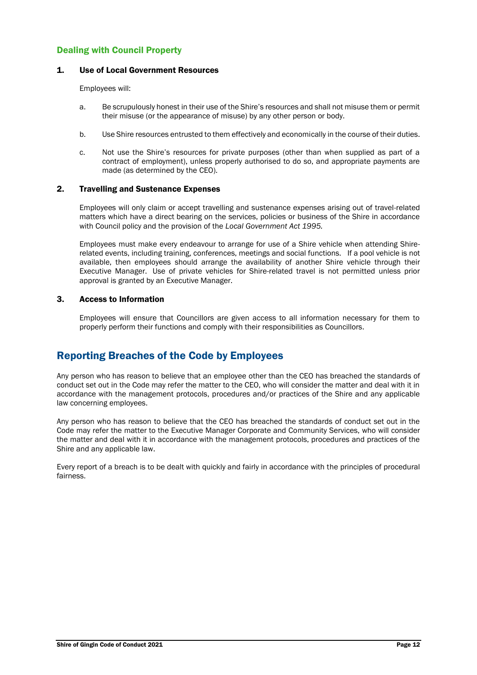# Dealing with Council Property

## 1. Use of Local Government Resources

Employees will:

- a. Be scrupulously honest in their use of the Shire's resources and shall not misuse them or permit their misuse (or the appearance of misuse) by any other person or body.
- b. Use Shire resources entrusted to them effectively and economically in the course of their duties.
- c. Not use the Shire's resources for private purposes (other than when supplied as part of a contract of employment), unless properly authorised to do so, and appropriate payments are made (as determined by the CEO).

### 2. Travelling and Sustenance Expenses

Employees will only claim or accept travelling and sustenance expenses arising out of travel-related matters which have a direct bearing on the services, policies or business of the Shire in accordance with Council policy and the provision of the *Local Government Act 1995.*

Employees must make every endeavour to arrange for use of a Shire vehicle when attending Shirerelated events, including training, conferences, meetings and social functions. If a pool vehicle is not available, then employees should arrange the availability of another Shire vehicle through their Executive Manager. Use of private vehicles for Shire-related travel is not permitted unless prior approval is granted by an Executive Manager.

### 3. Access to Information

Employees will ensure that Councillors are given access to all information necessary for them to properly perform their functions and comply with their responsibilities as Councillors.

# Reporting Breaches of the Code by Employees

Any person who has reason to believe that an employee other than the CEO has breached the standards of conduct set out in the Code may refer the matter to the CEO, who will consider the matter and deal with it in accordance with the management protocols, procedures and/or practices of the Shire and any applicable law concerning employees.

Any person who has reason to believe that the CEO has breached the standards of conduct set out in the Code may refer the matter to the Executive Manager Corporate and Community Services, who will consider the matter and deal with it in accordance with the management protocols, procedures and practices of the Shire and any applicable law.

Every report of a breach is to be dealt with quickly and fairly in accordance with the principles of procedural fairness